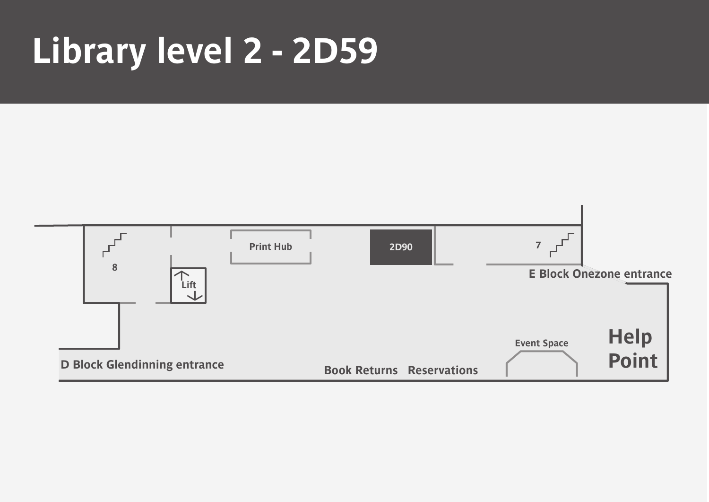## **Library level 2 - 2D59**



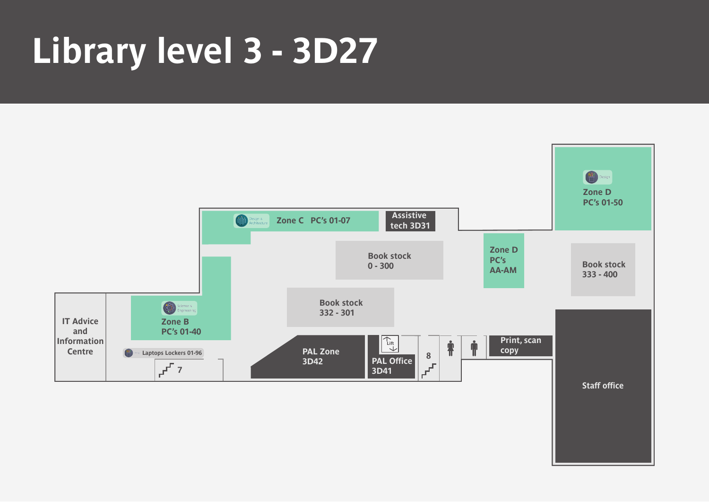# **Library level 3 - 3D27**



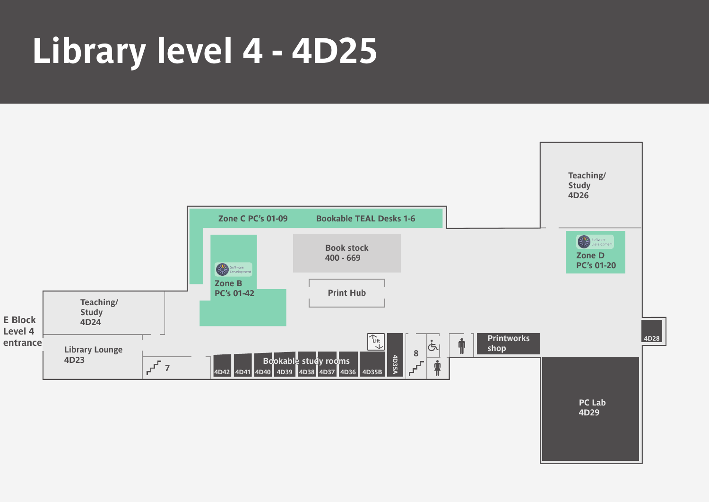## **Library level 4 - 4D25**